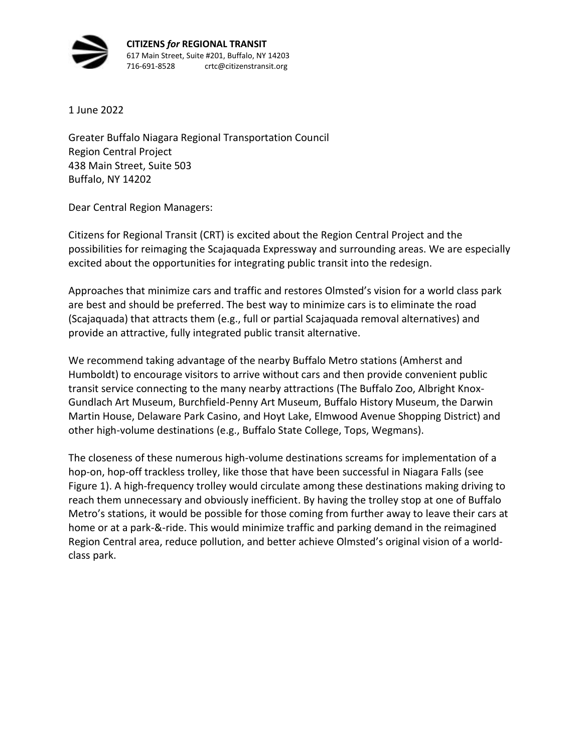

1 June 2022

Greater Buffalo Niagara Regional Transportation Council Region Central Project 438 Main Street, Suite 503 Buffalo, NY 14202

Dear Central Region Managers:

Citizens for Regional Transit (CRT) is excited about the Region Central Project and the possibilities for reimaging the Scajaquada Expressway and surrounding areas. We are especially excited about the opportunities for integrating public transit into the redesign.

Approaches that minimize cars and traffic and restores Olmsted's vision for a world class park are best and should be preferred. The best way to minimize cars is to eliminate the road (Scajaquada) that attracts them (e.g., full or partial Scajaquada removal alternatives) and provide an attractive, fully integrated public transit alternative.

We recommend taking advantage of the nearby Buffalo Metro stations (Amherst and Humboldt) to encourage visitors to arrive without cars and then provide convenient public transit service connecting to the many nearby attractions (The Buffalo Zoo, Albright Knox-Gundlach Art Museum, Burchfield-Penny Art Museum, Buffalo History Museum, the Darwin Martin House, Delaware Park Casino, and Hoyt Lake, Elmwood Avenue Shopping District) and other high-volume destinations (e.g., Buffalo State College, Tops, Wegmans).

The closeness of these numerous high-volume destinations screams for implementation of a hop-on, hop-off trackless trolley, like those that have been successful in Niagara Falls (see Figure 1). A high-frequency trolley would circulate among these destinations making driving to reach them unnecessary and obviously inefficient. By having the trolley stop at one of Buffalo Metro's stations, it would be possible for those coming from further away to leave their cars at home or at a park-&-ride. This would minimize traffic and parking demand in the reimagined Region Central area, reduce pollution, and better achieve Olmsted's original vision of a worldclass park.